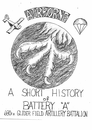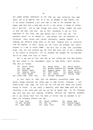did seemed perhaps unnecessary at the time, but upon reflection they made sense, and so we made the best of it all, we managed to keep healthy, and if our morale floundered a bit from time to time in the Tennessee mud, it always came back with a bang when we hit a rest period, a change of clothes and a mail-call. And we came through with colors flying, tougher and wiser in mind and body---and soul. And we felt, considered it was our first experience of this kind, that Able Battery did a first rate job. The obstacles weren't to be sneezed at. Long marches over the mountains in torrential rains, eating cold rations continually, keeping together in a fighting and effective group while on the move, sleeping with no protection from the weather, in short, facing all the trials and problems that nature presents to a man in actual combat. And we'd like to add, with justifiable pride, that the 17th Airborne was the first Red Force ever to win a maneuver in the history of Tennessee--- for we attacked and whipped the you-know-what out of our enemy from start to finish.

But it was also at this time that we lost sixteen men from Able Battery, who were called to the reassignment center at Camp Butner, North Carolina. They were as follows:

| Pfc. Darwin Ashley           | Pvt. George Brown bvt. Martin Heinert     |                      |
|------------------------------|-------------------------------------------|----------------------|
| Pvt. Oren Bamo               | Pvt. Donald Crawford Pvt. Browder Holland |                      |
| Pyt. Kenneth Booth           | Pvt. Raymond Haines Pvt. Carrl Harris     |                      |
| Pvt. Anderson Fuller         | Pvt. Glenn Kelly                          | Pvt. Edward Leonhart |
| Pvt. Steve Brodek            | Pvt. Earl Johnson Pvt. William Yeagy      |                      |
| and a short time after this, | Pyt. Horrome Kazorowski.                  |                      |

At last, March 24, 1944, with the manouvers successfully ended, Able battery became motorized and rolled away to Camp Forrest, Tennessee, a real honest-to-God army camp, the first one the 17th had ever moved into without having to finish. It was really a beautiful, well kept Camp with all the facilities a man could want--and you can bet we wanted them. So the following days were kept busy with cleaning, scrubbing, painting and repairing equipment. And it was during those first few weeks at Forrest that we welcomed to our midst the following officers and men:

| Lt. Frank Poole    | Pfc. Daniel Goldberg | Pfc. George Meek |                      |
|--------------------|----------------------|------------------|----------------------|
| T/5 John Van Neste | Pfc. John Cox        |                  | Pfc. Clayton Foqwell |
| Pfc. James DeMars  | Pfc. Oscar Frost     |                  | Pfc. Thomas Williams |